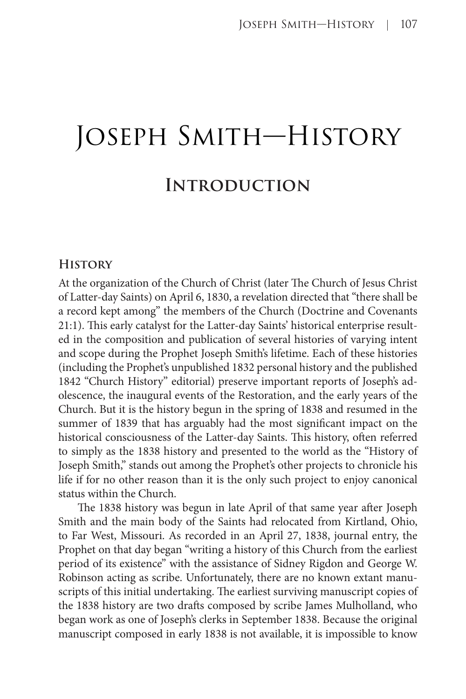# Joseph Smith—History **Introduction**

#### **History**

At the organization of the Church of Christ (later The Church of Jesus Christ of Latter-day Saints) on April 6, 1830, a revelation directed that "there shall be a record kept among" the members of the Church (Doctrine and Covenants 21:1). This early catalyst for the Latter-day Saints' historical enterprise resulted in the composition and publication of several histories of varying intent and scope during the Prophet Joseph Smith's lifetime. Each of these histories (including the Prophet's unpublished 1832 personal history and the published 1842 "Church History" editorial) preserve important reports of Joseph's adolescence, the inaugural events of the Restoration, and the early years of the Church. But it is the history begun in the spring of 1838 and resumed in the summer of 1839 that has arguably had the most significant impact on the historical consciousness of the Latter-day Saints. This history, often referred to simply as the 1838 history and presented to the world as the "History of Joseph Smith," stands out among the Prophet's other projects to chronicle his life if for no other reason than it is the only such project to enjoy canonical status within the Church.

The 1838 history was begun in late April of that same year after Joseph Smith and the main body of the Saints had relocated from Kirtland, Ohio, to Far West, Missouri. As recorded in an April 27, 1838, journal entry, the Prophet on that day began "writing a history of this Church from the earliest period of its existence" with the assistance of Sidney Rigdon and George W. Robinson acting as scribe. Unfortunately, there are no known extant manuscripts of this initial undertaking. The earliest surviving manuscript copies of the 1838 history are two drafts composed by scribe James Mulholland, who began work as one of Joseph's clerks in September 1838. Because the original manuscript composed in early 1838 is not available, it is impossible to know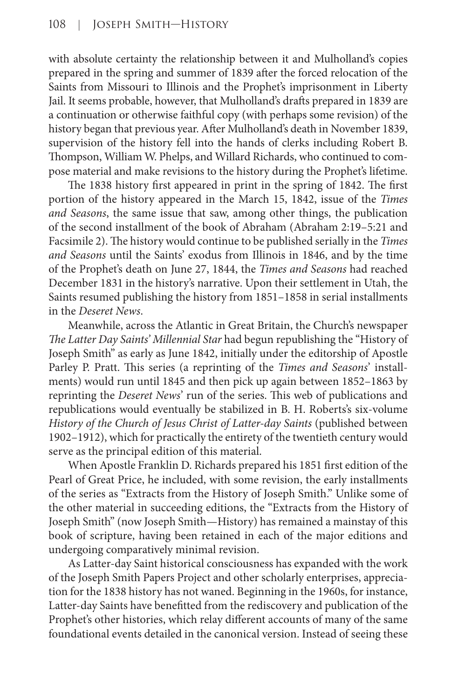with absolute certainty the relationship between it and Mulholland's copies prepared in the spring and summer of 1839 after the forced relocation of the Saints from Missouri to Illinois and the Prophet's imprisonment in Liberty Jail. It seems probable, however, that Mulholland's drafts prepared in 1839 are a continuation or otherwise faithful copy (with perhaps some revision) of the history began that previous year. After Mulholland's death in November 1839, supervision of the history fell into the hands of clerks including Robert B. Thompson, William W. Phelps, and Willard Richards, who continued to compose material and make revisions to the history during the Prophet's lifetime.

The 1838 history first appeared in print in the spring of 1842. The first portion of the history appeared in the March 15, 1842, issue of the *Times and Seasons*, the same issue that saw, among other things, the publication of the second installment of the book of Abraham (Abraham 2:19–5:21 and Facsimile 2). The history would continue to be published serially in the *Times and Seasons* until the Saints' exodus from Illinois in 1846, and by the time of the Prophet's death on June 27, 1844, the *Times and Seasons* had reached December 1831 in the history's narrative. Upon their settlement in Utah, the Saints resumed publishing the history from 1851–1858 in serial installments in the *Deseret News*.

Meanwhile, across the Atlantic in Great Britain, the Church's newspaper *The Latter Day Saints' Millennial Star* had begun republishing the "History of Joseph Smith" as early as June 1842, initially under the editorship of Apostle Parley P. Pratt. This series (a reprinting of the *Times and Seasons*' installments) would run until 1845 and then pick up again between 1852–1863 by reprinting the *Deseret News*' run of the series. This web of publications and republications would eventually be stabilized in B. H. Roberts's six-volume *History of the Church of Jesus Christ of Latter-day Saints* (published between 1902–1912), which for practically the entirety of the twentieth century would serve as the principal edition of this material.

When Apostle Franklin D. Richards prepared his 1851 first edition of the Pearl of Great Price, he included, with some revision, the early installments of the series as "Extracts from the History of Joseph Smith." Unlike some of the other material in succeeding editions, the "Extracts from the History of Joseph Smith" (now Joseph Smith—History) has remained a mainstay of this book of scripture, having been retained in each of the major editions and undergoing comparatively minimal revision.

As Latter-day Saint historical consciousness has expanded with the work of the Joseph Smith Papers Project and other scholarly enterprises, appreciation for the 1838 history has not waned. Beginning in the 1960s, for instance, Latter-day Saints have benefitted from the rediscovery and publication of the Prophet's other histories, which relay different accounts of many of the same foundational events detailed in the canonical version. Instead of seeing these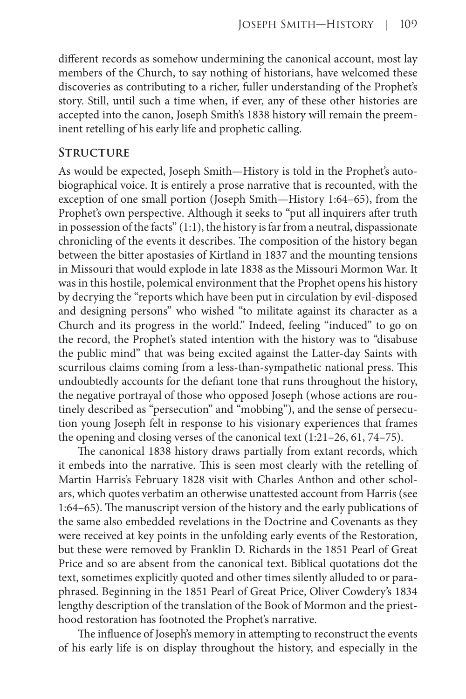different records as somehow undermining the canonical account, most lay members of the Church, to say nothing of historians, have welcomed these discoveries as contributing to a richer, fuller understanding of the Prophet's story. Still, until such a time when, if ever, any of these other histories are accepted into the canon, Joseph Smith's 1838 history will remain the preeminent retelling of his early life and prophetic calling.

#### **Structure**

As would be expected, Joseph Smith—History is told in the Prophet's autobiographical voice. It is entirely a prose narrative that is recounted, with the exception of one small portion (Joseph Smith—History 1:64–65), from the Prophet's own perspective. Although it seeks to "put all inquirers after truth in possession of the facts" (1:1), the history is far from a neutral, dispassionate chronicling of the events it describes. The composition of the history began between the bitter apostasies of Kirtland in 1837 and the mounting tensions in Missouri that would explode in late 1838 as the Missouri Mormon War. It was in this hostile, polemical environment that the Prophet opens his history by decrying the "reports which have been put in circulation by evil-disposed and designing persons" who wished "to militate against its character as a Church and its progress in the world." Indeed, feeling "induced" to go on the record, the Prophet's stated intention with the history was to "disabuse the public mind" that was being excited against the Latter-day Saints with scurrilous claims coming from a less-than-sympathetic national press. This undoubtedly accounts for the defiant tone that runs throughout the history, the negative portrayal of those who opposed Joseph (whose actions are routinely described as "persecution" and "mobbing"), and the sense of persecution young Joseph felt in response to his visionary experiences that frames the opening and closing verses of the canonical text (1:21–26, 61, 74–75).

The canonical 1838 history draws partially from extant records, which it embeds into the narrative. This is seen most clearly with the retelling of Martin Harris's February 1828 visit with Charles Anthon and other scholars, which quotes verbatim an otherwise unattested account from Harris (see 1:64–65). The manuscript version of the history and the early publications of the same also embedded revelations in the Doctrine and Covenants as they were received at key points in the unfolding early events of the Restoration, but these were removed by Franklin D. Richards in the 1851 Pearl of Great Price and so are absent from the canonical text. Biblical quotations dot the text, sometimes explicitly quoted and other times silently alluded to or paraphrased. Beginning in the 1851 Pearl of Great Price, Oliver Cowdery's 1834 lengthy description of the translation of the Book of Mormon and the priesthood restoration has footnoted the Prophet's narrative.

The influence of Joseph's memory in attempting to reconstruct the events of his early life is on display throughout the history, and especially in the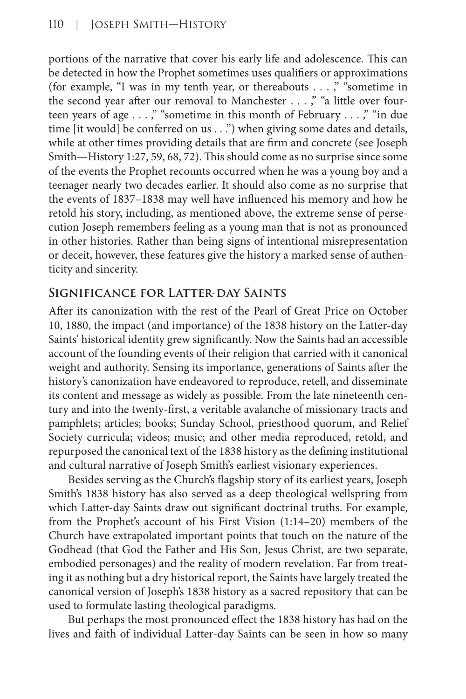portions of the narrative that cover his early life and adolescence. This can be detected in how the Prophet sometimes uses qualifiers or approximations (for example, "I was in my tenth year, or thereabouts . . . ," "sometime in the second year after our removal to Manchester . . . ," "a little over fourteen years of age . . . ," "sometime in this month of February . . . ," "in due time [it would] be conferred on us . . .") when giving some dates and details, while at other times providing details that are firm and concrete (see Joseph Smith—History 1:27, 59, 68, 72). This should come as no surprise since some of the events the Prophet recounts occurred when he was a young boy and a teenager nearly two decades earlier. It should also come as no surprise that the events of 1837–1838 may well have influenced his memory and how he retold his story, including, as mentioned above, the extreme sense of persecution Joseph remembers feeling as a young man that is not as pronounced in other histories. Rather than being signs of intentional misrepresentation or deceit, however, these features give the history a marked sense of authenticity and sincerity.

## **Significance for Latter-day Saints**

After its canonization with the rest of the Pearl of Great Price on October 10, 1880, the impact (and importance) of the 1838 history on the Latter-day Saints' historical identity grew significantly. Now the Saints had an accessible account of the founding events of their religion that carried with it canonical weight and authority. Sensing its importance, generations of Saints after the history's canonization have endeavored to reproduce, retell, and disseminate its content and message as widely as possible. From the late nineteenth century and into the twenty-first, a veritable avalanche of missionary tracts and pamphlets; articles; books; Sunday School, priesthood quorum, and Relief Society curricula; videos; music; and other media reproduced, retold, and repurposed the canonical text of the 1838 history as the defining institutional and cultural narrative of Joseph Smith's earliest visionary experiences.

Besides serving as the Church's flagship story of its earliest years, Joseph Smith's 1838 history has also served as a deep theological wellspring from which Latter-day Saints draw out significant doctrinal truths. For example, from the Prophet's account of his First Vision (1:14–20) members of the Church have extrapolated important points that touch on the nature of the Godhead (that God the Father and His Son, Jesus Christ, are two separate, embodied personages) and the reality of modern revelation. Far from treating it as nothing but a dry historical report, the Saints have largely treated the canonical version of Joseph's 1838 history as a sacred repository that can be used to formulate lasting theological paradigms.

But perhaps the most pronounced effect the 1838 history has had on the lives and faith of individual Latter-day Saints can be seen in how so many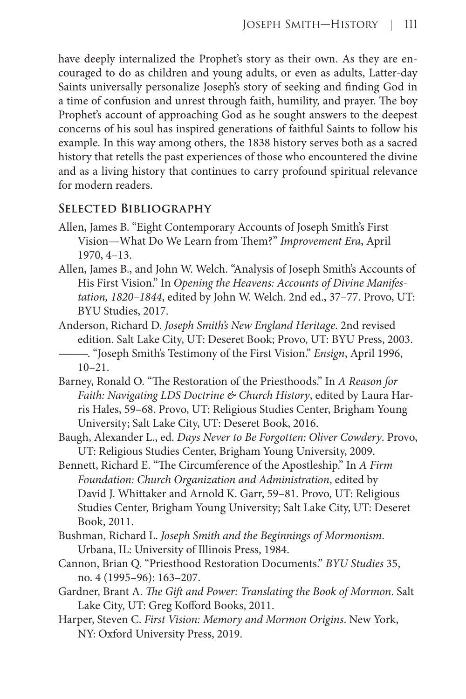have deeply internalized the Prophet's story as their own. As they are encouraged to do as children and young adults, or even as adults, Latter-day Saints universally personalize Joseph's story of seeking and finding God in a time of confusion and unrest through faith, humility, and prayer. The boy Prophet's account of approaching God as he sought answers to the deepest concerns of his soul has inspired generations of faithful Saints to follow his example. In this way among others, the 1838 history serves both as a sacred history that retells the past experiences of those who encountered the divine and as a living history that continues to carry profound spiritual relevance for modern readers.

## **Selected Bibliography**

- Allen, James B. "Eight Contemporary Accounts of Joseph Smith's First Vision—What Do We Learn from Them?" *Improvement Era*, April 1970, 4–13.
- Allen, James B., and John W. Welch. "Analysis of Joseph Smith's Accounts of His First Vision." In *Opening the Heavens: Accounts of Divine Manifestation, 1820–1844*, edited by John W. Welch. 2nd ed., 37–77. Provo, UT: BYU Studies, 2017.
- Anderson, Richard D. *Joseph Smith's New England Heritage*. 2nd revised edition. Salt Lake City, UT: Deseret Book; Provo, UT: BYU Press, 2003. ———. "Joseph Smith's Testimony of the First Vision." *Ensign*, April 1996, 10–21.
- Barney, Ronald O. "The Restoration of the Priesthoods." In *A Reason for Faith: Navigating LDS Doctrine & Church History*, edited by Laura Harris Hales, 59–68. Provo, UT: Religious Studies Center, Brigham Young University; Salt Lake City, UT: Deseret Book, 2016.
- Baugh, Alexander L., ed. *Days Never to Be Forgotten: Oliver Cowdery*. Provo, UT: Religious Studies Center, Brigham Young University, 2009.
- Bennett, Richard E. "The Circumference of the Apostleship." In *A Firm Foundation: Church Organization and Administration*, edited by David J. Whittaker and Arnold K. Garr, 59–81. Provo, UT: Religious Studies Center, Brigham Young University; Salt Lake City, UT: Deseret Book, 2011.
- Bushman, Richard L. *Joseph Smith and the Beginnings of Mormonism*. Urbana, IL: University of Illinois Press, 1984.
- Cannon, Brian Q. "Priesthood Restoration Documents." *BYU Studies* 35, no. 4 (1995–96): 163–207.
- Gardner, Brant A. *The Gift and Power: Translating the Book of Mormon*. Salt Lake City, UT: Greg Kofford Books, 2011.
- Harper, Steven C. *First Vision: Memory and Mormon Origins*. New York, NY: Oxford University Press, 2019.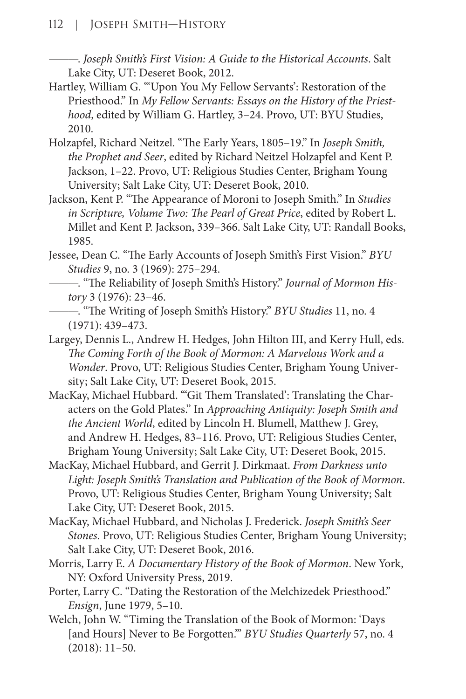———. *Joseph Smith's First Vision: A Guide to the Historical Accounts*. Salt Lake City, UT: Deseret Book, 2012.

- Hartley, William G. "'Upon You My Fellow Servants': Restoration of the Priesthood." In *My Fellow Servants: Essays on the History of the Priesthood*, edited by William G. Hartley, 3–24. Provo, UT: BYU Studies, 2010.
- Holzapfel, Richard Neitzel. "The Early Years, 1805–19." In *Joseph Smith, the Prophet and Seer*, edited by Richard Neitzel Holzapfel and Kent P. Jackson, 1–22. Provo, UT: Religious Studies Center, Brigham Young University; Salt Lake City, UT: Deseret Book, 2010.
- Jackson, Kent P. "The Appearance of Moroni to Joseph Smith." In *Studies in Scripture, Volume Two: The Pearl of Great Price*, edited by Robert L. Millet and Kent P. Jackson, 339–366. Salt Lake City, UT: Randall Books, 1985.
- Jessee, Dean C. "The Early Accounts of Joseph Smith's First Vision." *BYU Studies* 9, no. 3 (1969): 275–294.
	- ———. "The Reliability of Joseph Smith's History." *Journal of Mormon History* 3 (1976): 23–46.
- ———. "The Writing of Joseph Smith's History." *BYU Studies* 11, no. 4 (1971): 439–473.
- Largey, Dennis L., Andrew H. Hedges, John Hilton III, and Kerry Hull, eds. *The Coming Forth of the Book of Mormon: A Marvelous Work and a Wonder*. Provo, UT: Religious Studies Center, Brigham Young University; Salt Lake City, UT: Deseret Book, 2015.
- MacKay, Michael Hubbard. "'Git Them Translated': Translating the Characters on the Gold Plates." In *Approaching Antiquity: Joseph Smith and the Ancient World*, edited by Lincoln H. Blumell, Matthew J. Grey, and Andrew H. Hedges, 83–116. Provo, UT: Religious Studies Center, Brigham Young University; Salt Lake City, UT: Deseret Book, 2015.
- MacKay, Michael Hubbard, and Gerrit J. Dirkmaat. *From Darkness unto Light: Joseph Smith's Translation and Publication of the Book of Mormon*. Provo, UT: Religious Studies Center, Brigham Young University; Salt Lake City, UT: Deseret Book, 2015.
- MacKay, Michael Hubbard, and Nicholas J. Frederick. *Joseph Smith's Seer Stones*. Provo, UT: Religious Studies Center, Brigham Young University; Salt Lake City, UT: Deseret Book, 2016.
- Morris, Larry E. *A Documentary History of the Book of Mormon*. New York, NY: Oxford University Press, 2019.
- Porter, Larry C. "Dating the Restoration of the Melchizedek Priesthood." *Ensign*, June 1979, 5–10.
- Welch, John W. "Timing the Translation of the Book of Mormon: 'Days [and Hours] Never to Be Forgotten.'" *BYU Studies Quarterly* 57, no. 4 (2018): 11–50.